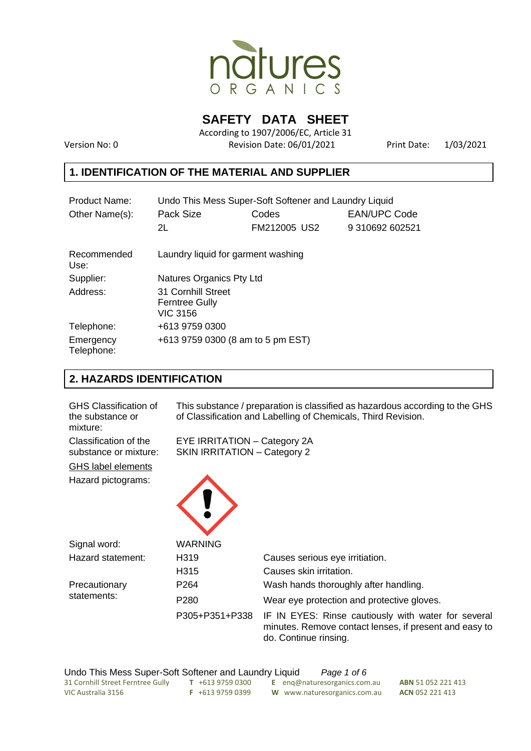

**SAFETY DATA SHEET** 

According to 1907/2006/EC, Article 31 Version No: 0 Revision Date: 06/01/2021 Print Date: 1/03/2021

# **1. IDENTIFICATION OF THE MATERIAL AND SUPPLIER**

| Product Name:           | Undo This Mess Super-Soft Softener and Laundry Liquid          |              |                     |  |
|-------------------------|----------------------------------------------------------------|--------------|---------------------|--|
| Other Name(s):          | Pack Size                                                      | Codes        | <b>EAN/UPC Code</b> |  |
|                         | 2L                                                             | FM212005 US2 | 9 310692 602521     |  |
| Recommended<br>Use:     | Laundry liquid for garment washing                             |              |                     |  |
| Supplier:               | Natures Organics Pty Ltd                                       |              |                     |  |
| Address:                | 31 Cornhill Street<br><b>Ferntree Gully</b><br><b>VIC 3156</b> |              |                     |  |
| Telephone:              | +613 9759 0300                                                 |              |                     |  |
| Emergency<br>Telephone: | +613 9759 0300 (8 am to 5 pm EST)                              |              |                     |  |

### **2. HAZARDS IDENTIFICATION**

| <b>GHS Classification of</b><br>the substance or<br>mixture: | This substance / preparation is classified as hazardous according to the GHS<br>of Classification and Labelling of Chemicals, Third Revision. |                                                                                                                                        |  |
|--------------------------------------------------------------|-----------------------------------------------------------------------------------------------------------------------------------------------|----------------------------------------------------------------------------------------------------------------------------------------|--|
| Classification of the<br>substance or mixture:               | EYE IRRITATION - Category 2A<br><b>SKIN IRRITATION - Category 2</b>                                                                           |                                                                                                                                        |  |
| GHS label elements                                           |                                                                                                                                               |                                                                                                                                        |  |
| Hazard pictograms:                                           |                                                                                                                                               |                                                                                                                                        |  |
| Signal word:                                                 | <b>WARNING</b>                                                                                                                                |                                                                                                                                        |  |
| Hazard statement:                                            | H319                                                                                                                                          | Causes serious eye irritiation.                                                                                                        |  |
|                                                              | H315                                                                                                                                          | Causes skin irritation.                                                                                                                |  |
| Precautionary                                                | P <sub>264</sub>                                                                                                                              | Wash hands thoroughly after handling.                                                                                                  |  |
| statements:                                                  | P <sub>280</sub>                                                                                                                              | Wear eye protection and protective gloves.                                                                                             |  |
|                                                              | P305+P351+P338                                                                                                                                | IF IN EYES: Rinse cautiously with water for several<br>minutes. Remove contact lenses, if present and easy to<br>do. Continue rinsing. |  |

Undo This Mess Super-Soft Softener and Laundry Liquid Page 1 of 6<br>31 Cornhill Street Ferntree Gully T +613 9759 0300 E enq@naturesorganics.com 31 Cornhill Street Ferntree Gully **T** +613 9759 0300 **E** enq@naturesorganics.com.au **ABN** 51 052 221 413 W www.naturesorganics.com.au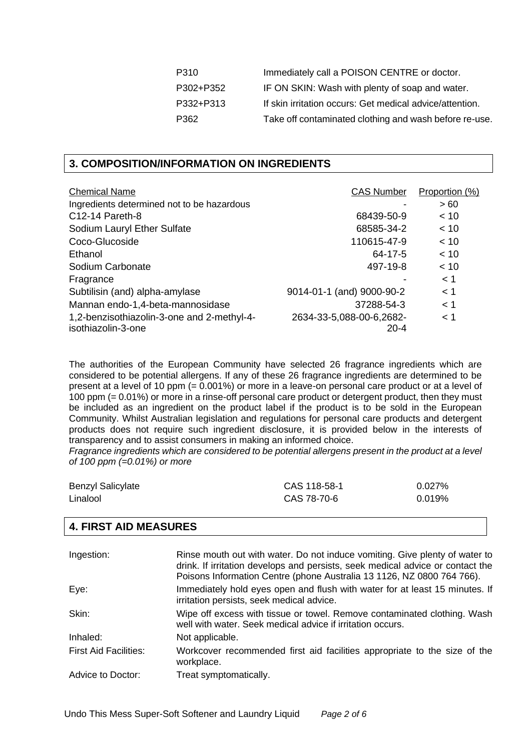| P310      | Immediately call a POISON CENTRE or doctor.              |
|-----------|----------------------------------------------------------|
| P302+P352 | IF ON SKIN: Wash with plenty of soap and water.          |
| P332+P313 | If skin irritation occurs: Get medical advice/attention. |
| P362      | Take off contaminated clothing and wash before re-use.   |

### **3. COMPOSITION/INFORMATION ON INGREDIENTS**

| <b>Chemical Name</b>                                             | <b>CAS Number</b>                    | Proportion (%) |
|------------------------------------------------------------------|--------------------------------------|----------------|
|                                                                  |                                      |                |
| Ingredients determined not to be hazardous                       |                                      | >60            |
| C12-14 Pareth-8                                                  | 68439-50-9                           | < 10           |
| Sodium Lauryl Ether Sulfate                                      | 68585-34-2                           | < 10           |
| Coco-Glucoside                                                   | 110615-47-9                          | < 10           |
| Ethanol                                                          | $64 - 17 - 5$                        | ~< 10          |
| Sodium Carbonate                                                 | 497-19-8                             | ~< 10          |
| Fragrance                                                        |                                      | < 1            |
| Subtilisin (and) alpha-amylase                                   | 9014-01-1 (and) 9000-90-2            | < 1            |
| Mannan endo-1,4-beta-mannosidase                                 | 37288-54-3                           | < 1            |
| 1,2-benzisothiazolin-3-one and 2-methyl-4-<br>isothiazolin-3-one | 2634-33-5,088-00-6,2682-<br>$20 - 4$ | 1 >            |

The authorities of the European Community have selected 26 fragrance ingredients which are considered to be potential allergens. If any of these 26 fragrance ingredients are determined to be present at a level of 10 ppm (= 0.001%) or more in a leave-on personal care product or at a level of 100 ppm (= 0.01%) or more in a rinse-off personal care product or detergent product, then they must be included as an ingredient on the product label if the product is to be sold in the European Community. Whilst Australian legislation and regulations for personal care products and detergent products does not require such ingredient disclosure, it is provided below in the interests of transparency and to assist consumers in making an informed choice.

*Fragrance ingredients which are considered to be potential allergens present in the product at a level of 100 ppm (=0.01%) or more*

| <b>Benzyl Salicylate</b> | CAS 118-58-1 | 0.027% |
|--------------------------|--------------|--------|
| Linalool                 | CAS 78-70-6  | 0.019% |

### **4. FIRST AID MEASURES**

| Ingestion:                   | Rinse mouth out with water. Do not induce vomiting. Give plenty of water to<br>drink. If irritation develops and persists, seek medical advice or contact the<br>Poisons Information Centre (phone Australia 13 1126, NZ 0800 764 766). |
|------------------------------|-----------------------------------------------------------------------------------------------------------------------------------------------------------------------------------------------------------------------------------------|
| Eye:                         | Immediately hold eyes open and flush with water for at least 15 minutes. If<br>irritation persists, seek medical advice.                                                                                                                |
| Skin:                        | Wipe off excess with tissue or towel. Remove contaminated clothing. Wash<br>well with water. Seek medical advice if irritation occurs.                                                                                                  |
| Inhaled:                     | Not applicable.                                                                                                                                                                                                                         |
| <b>First Aid Facilities:</b> | Workcover recommended first aid facilities appropriate to the size of the<br>workplace.                                                                                                                                                 |
| Advice to Doctor:            | Treat symptomatically.                                                                                                                                                                                                                  |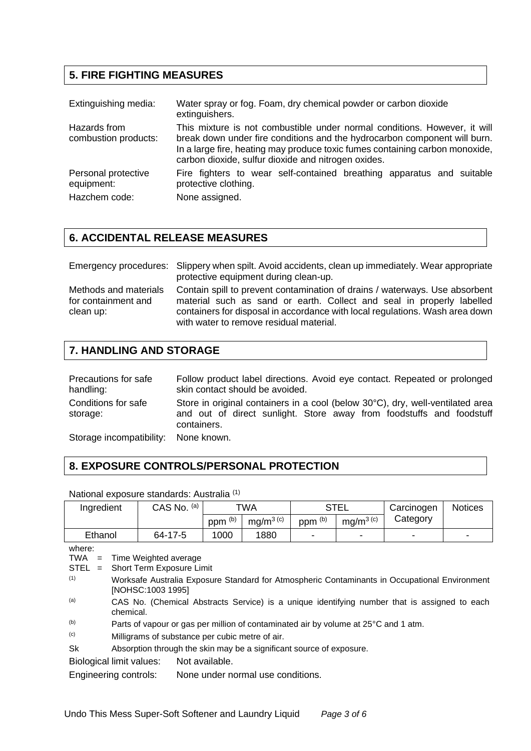# **5. FIRE FIGHTING MEASURES**

| Extinguishing media:                               | Water spray or fog. Foam, dry chemical powder or carbon dioxide<br>extinguishers.                                                                                                                                                                                                             |
|----------------------------------------------------|-----------------------------------------------------------------------------------------------------------------------------------------------------------------------------------------------------------------------------------------------------------------------------------------------|
| Hazards from<br>combustion products:               | This mixture is not combustible under normal conditions. However, it will<br>break down under fire conditions and the hydrocarbon component will burn.<br>In a large fire, heating may produce toxic fumes containing carbon monoxide,<br>carbon dioxide, sulfur dioxide and nitrogen oxides. |
| Personal protective<br>equipment:<br>Hazchem code: | Fire fighters to wear self-contained breathing apparatus and suitable<br>protective clothing.<br>None assigned.                                                                                                                                                                               |

## **6. ACCIDENTAL RELEASE MEASURES**

|                                                           | Emergency procedures: Slippery when spilt. Avoid accidents, clean up immediately. Wear appropriate<br>protective equipment during clean-up.                                                                                                                                     |
|-----------------------------------------------------------|---------------------------------------------------------------------------------------------------------------------------------------------------------------------------------------------------------------------------------------------------------------------------------|
| Methods and materials<br>for containment and<br>clean up: | Contain spill to prevent contamination of drains / waterways. Use absorbent<br>material such as sand or earth. Collect and seal in properly labelled<br>containers for disposal in accordance with local regulations. Wash area down<br>with water to remove residual material. |

### **7. HANDLING AND STORAGE**

| Precautions for safe<br>handling:    | Follow product label directions. Avoid eye contact. Repeated or prolonged<br>skin contact should be avoided.                                                          |
|--------------------------------------|-----------------------------------------------------------------------------------------------------------------------------------------------------------------------|
| Conditions for safe<br>storage:      | Store in original containers in a cool (below 30°C), dry, well-ventilated area<br>and out of direct sunlight. Store away from foodstuffs and foodstuff<br>containers. |
| Storage incompatibility: None known. |                                                                                                                                                                       |

### **8. EXPOSURE CONTROLS/PERSONAL PROTECTION**

#### National exposure standards: Australia (1)

| Ingredient | (a)<br>CAS No. | <b>TWA</b>         |                                   | STEL               |                          | Carcinogen | <b>Notices</b> |
|------------|----------------|--------------------|-----------------------------------|--------------------|--------------------------|------------|----------------|
|            |                | ppm <sup>(b)</sup> | mg/m <sup>3<math>(c)</math></sup> | ppm <sup>(b)</sup> | $mq/m^{3(c)}$            | Category   |                |
| Ethanol    | 64-17-5        | 1000               | 1880                              | $\blacksquare$     | $\overline{\phantom{0}}$ |            | $\,$           |

where:

TWA = Time Weighted average

STEL = Short Term Exposure Limit

- (1) Worksafe Australia Exposure Standard for Atmospheric Contaminants in Occupational Environment [NOHSC:1003 1995]
- (a) CAS No. (Chemical Abstracts Service) is a unique identifying number that is assigned to each chemical.
- (b) Parts of vapour or gas per million of contaminated air by volume at 25°C and 1 atm.

(c) Milligrams of substance per cubic metre of air.

Sk Absorption through the skin may be a significant source of exposure.

Biological limit values: Not available.

Engineering controls: None under normal use conditions.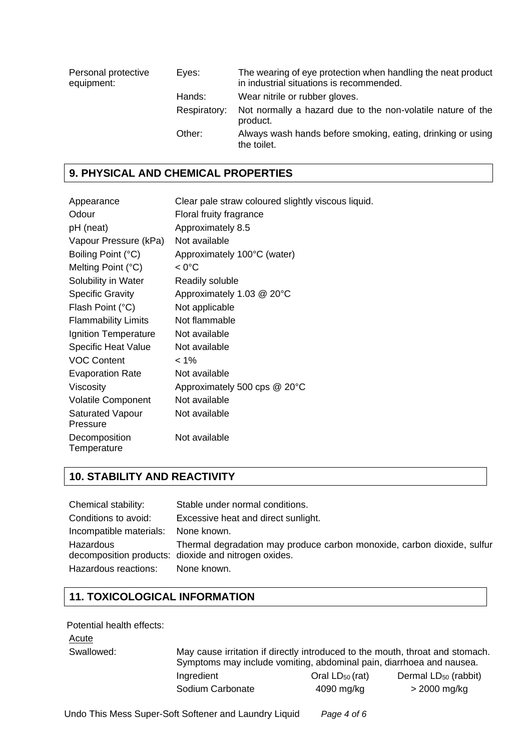| Personal protective<br>equipment: | Eyes:        | The wearing of eye protection when handling the neat product<br>in industrial situations is recommended. |
|-----------------------------------|--------------|----------------------------------------------------------------------------------------------------------|
|                                   | Hands:       | Wear nitrile or rubber gloves.                                                                           |
|                                   | Respiratory: | Not normally a hazard due to the non-volatile nature of the<br>product.                                  |
|                                   | Other:       | Always wash hands before smoking, eating, drinking or using<br>the toilet.                               |

# **9. PHYSICAL AND CHEMICAL PROPERTIES**

| Clear pale straw coloured slightly viscous liquid. |
|----------------------------------------------------|
| Floral fruity fragrance                            |
| Approximately 8.5                                  |
| Not available                                      |
| Approximately 100°C (water)                        |
| < 0°C                                              |
| Readily soluble                                    |
| Approximately 1.03 @ 20°C                          |
| Not applicable                                     |
| Not flammable                                      |
| Not available                                      |
| Not available                                      |
| $< 1\%$                                            |
| Not available                                      |
| Approximately 500 cps @ 20°C                       |
| Not available                                      |
| Not available                                      |
| Not available                                      |
|                                                    |

# **10. STABILITY AND REACTIVITY**

| Chemical stability:                 | Stable under normal conditions.                                                                                                 |
|-------------------------------------|---------------------------------------------------------------------------------------------------------------------------------|
| Conditions to avoid:                | Excessive heat and direct sunlight.                                                                                             |
| Incompatible materials: None known. |                                                                                                                                 |
| Hazardous                           | Thermal degradation may produce carbon monoxide, carbon dioxide, sulfur<br>decomposition products: dioxide and nitrogen oxides. |
| Hazardous reactions:                | None known.                                                                                                                     |

# **11. TOXICOLOGICAL INFORMATION**

### Potential health effects:

**Acute** 

| Swallowed: |                  | May cause irritation if directly introduced to the mouth, throat and stomach.<br>Symptoms may include vomiting, abdominal pain, diarrhoea and nausea. |                           |
|------------|------------------|-------------------------------------------------------------------------------------------------------------------------------------------------------|---------------------------|
|            | Ingredient       | Oral $LD_{50}$ (rat)                                                                                                                                  | Dermal $LD_{50}$ (rabbit) |
|            | Sodium Carbonate | 4090 mg/kg                                                                                                                                            | > 2000 mg/kg              |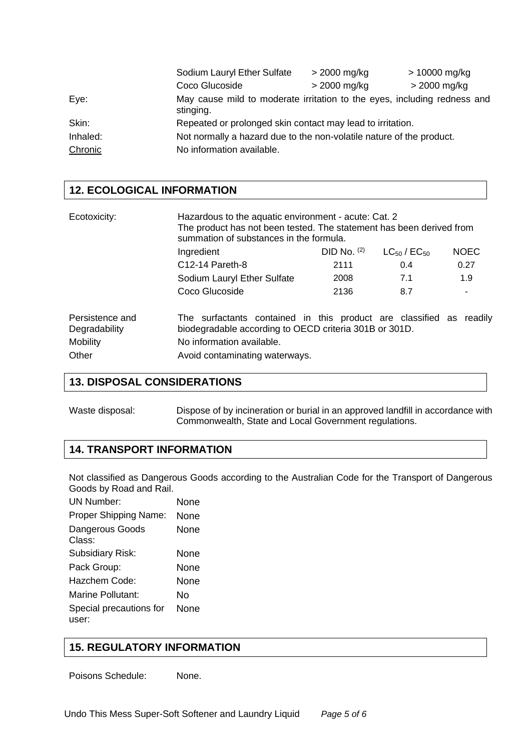|          | Sodium Lauryl Ether Sulfate                                                           | $>$ 2000 mg/kg | $> 10000$ mg/kg |
|----------|---------------------------------------------------------------------------------------|----------------|-----------------|
|          | Coco Glucoside                                                                        | $>$ 2000 mg/kg | $>$ 2000 mg/kg  |
| Eye:     | May cause mild to moderate irritation to the eyes, including redness and<br>stinging. |                |                 |
| Skin:    | Repeated or prolonged skin contact may lead to irritation.                            |                |                 |
| Inhaled: | Not normally a hazard due to the non-volatile nature of the product.                  |                |                 |
| Chronic  | No information available.                                                             |                |                 |

### **12. ECOLOGICAL INFORMATION**

| Ecotoxicity:                                                 | Hazardous to the aquatic environment - acute: Cat. 2<br>The product has not been tested. The statement has been derived from<br>summation of substances in the formula.                      |               |                       |             |
|--------------------------------------------------------------|----------------------------------------------------------------------------------------------------------------------------------------------------------------------------------------------|---------------|-----------------------|-------------|
|                                                              | Ingredient                                                                                                                                                                                   | DID No. $(2)$ | $LC_{50}$ / $EC_{50}$ | <b>NOEC</b> |
|                                                              | C <sub>12</sub> -14 Pareth-8                                                                                                                                                                 | 2111          | 0.4                   | 0.27        |
|                                                              | Sodium Lauryl Ether Sulfate                                                                                                                                                                  | 2008          | 7.1                   | 1.9         |
|                                                              | Coco Glucoside                                                                                                                                                                               | 2136          | 8.7                   |             |
| Persistence and<br>Degradability<br><b>Mobility</b><br>Other | The surfactants contained in this product are classified as readily<br>biodegradable according to OECD criteria 301B or 301D.<br>No information available.<br>Avoid contaminating waterways. |               |                       |             |

### **13. DISPOSAL CONSIDERATIONS**

Waste disposal: Dispose of by incineration or burial in an approved landfill in accordance with Commonwealth, State and Local Government regulations.

### **14. TRANSPORT INFORMATION**

Not classified as Dangerous Goods according to the Australian Code for the Transport of Dangerous Goods by Road and Rail.

| <b>UN Number:</b>                | None |
|----------------------------------|------|
| Proper Shipping Name:            | None |
| Dangerous Goods<br>Class:        | None |
| <b>Subsidiary Risk:</b>          | None |
| Pack Group:                      | None |
| Hazchem Code:                    | None |
| Marine Pollutant:                | N٥   |
| Special precautions for<br>user: | None |
|                                  |      |

### **15. REGULATORY INFORMATION**

Poisons Schedule: None.